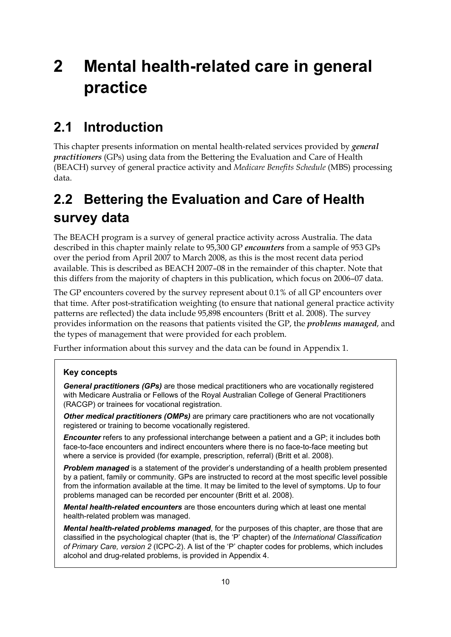# **2 Mental health-related care in general practice**

## **2.1 Introduction**

This chapter presents information on mental health-related services provided by *general practitioners* (GPs) using data from the Bettering the Evaluation and Care of Health (BEACH) survey of general practice activity and *Medicare Benefits Schedule* (MBS) processing data.

## **2.2 Bettering the Evaluation and Care of Health survey data**

The BEACH program is a survey of general practice activity across Australia. The data described in this chapter mainly relate to 95,300 GP *encounters* from a sample of 953 GPs over the period from April 2007 to March 2008, as this is the most recent data period available. This is described as BEACH 2007–08 in the remainder of this chapter. Note that this differs from the majority of chapters in this publication, which focus on 2006–07 data.

The GP encounters covered by the survey represent about 0.1% of all GP encounters over that time. After post-stratification weighting (to ensure that national general practice activity patterns are reflected) the data include 95,898 encounters (Britt et al. 2008). The survey provides information on the reasons that patients visited the GP, the *problems managed*, and the types of management that were provided for each problem.

Further information about this survey and the data can be found in Appendix 1.

### **Key concepts**

**General practitioners (GPs)** are those medical practitioners who are vocationally registered with Medicare Australia or Fellows of the Royal Australian College of General Practitioners (RACGP) or trainees for vocational registration.

*Other medical practitioners (OMPs)* are primary care practitioners who are not vocationally registered or training to become vocationally registered.

*Encounter* refers to any professional interchange between a patient and a GP; it includes both face-to-face encounters and indirect encounters where there is no face-to-face meeting but where a service is provided (for example, prescription, referral) (Britt et al. 2008).

**Problem managed** is a statement of the provider's understanding of a health problem presented by a patient, family or community. GPs are instructed to record at the most specific level possible from the information available at the time. It may be limited to the level of symptoms. Up to four problems managed can be recorded per encounter (Britt et al. 2008).

*Mental health-related encounters* are those encounters during which at least one mental health-related problem was managed.

*Mental health-related problems managed*, for the purposes of this chapter, are those that are classified in the psychological chapter (that is, the 'P' chapter) of the *International Classification of Primary Care, version 2* (ICPC-2). A list of the 'P' chapter codes for problems, which includes alcohol and drug-related problems, is provided in Appendix 4.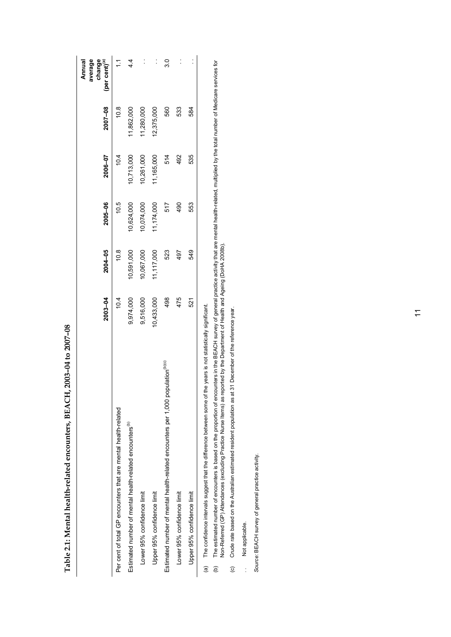|                                                                                                                       | 2003-04    | 2004-05    | 2005-06    | 2006-07    | 2007-08    | average<br>change<br>(per cent) <sup>(a)</sup><br>Annual |
|-----------------------------------------------------------------------------------------------------------------------|------------|------------|------------|------------|------------|----------------------------------------------------------|
| Per cent of total GP encounters that are mental health-related                                                        | 10.4       | 10.8       | 10.5       | 10.4       | 10.8       | $\tilde{L}$                                              |
| Estimated number of mental health-related encounters <sup>(b)</sup>                                                   | 9,974,000  | 10,591,000 | 10,624,000 | 10,713,000 | 1,862,000  | 4.4                                                      |
| Lower 95% confidence limit                                                                                            | 9,516,000  | 10,067,000 | 0,074,000  | 10,261,000 | 1,280,000  | $\ddot{\phantom{0}}$                                     |
| Upper 95% confidence limit                                                                                            | 10,433,000 | 11,117,000 | 11,174,000 | 11,165,000 | 12,375,000 |                                                          |
| Estimated number of mental health-related encounters per 1,000 population <sup>(b)(c)</sup>                           | 498        | 523        | 517        | 514        | 560        | $\overline{3}0$                                          |
| Lower 95% confidence limit                                                                                            | 475        | 497        | 490        | 492        | 533        | $\ddot{\phantom{0}}$                                     |
| Upper 95% confidence limit                                                                                            | 521        | 549        | 553        | 535        | 584        |                                                          |
| The confidence intervals suggest that the difference between some of the years is not statistically significant.<br>@ |            |            |            |            |            |                                                          |

**Table 2.1: Mental health-related encounters, BEACH, 2003–04 to 2007–08** 

Table 2.1: Mental health-related encounters, BEACH, 2003-04 to 2007-08

The estimated number of encounters is based on the proportion of encounters in the BEACH survey of general practice activity that are mental health-related, multiplied by the total number of Medicare services for<br>Non-Refer (b) The estimated number of encounters is based on the proportion of encounters in the BEACH survey of general practice activity that are mental health-related, multiplied by the total number of Medicare services for Non-Referred (GP) Attendances (excluding Practice Nurse Items) as reported by the Department of Health and Ageing (DoHA 2008b).  $\ddot{e}$ 

Crude rate based on the Australian estimated resident population as at 31 December of the reference year. (c) Crude rate based on the Australian estimated resident population as at 31 December of the reference year.  $\odot$ 

Not applicable. .. Not applicable.  $\frac{1}{2}$ 

*Source:* BEACH survey of general practice activity. Source: BEACH survey of general practice activity.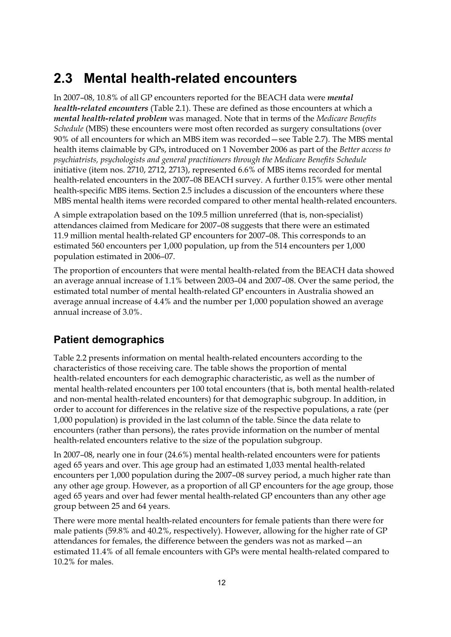## **2.3 Mental health-related encounters**

In 2007–08, 10.8% of all GP encounters reported for the BEACH data were *mental health-related encounters* (Table 2.1). These are defined as those encounters at which a *mental health-related problem* was managed. Note that in terms of the *Medicare Benefits Schedule* (MBS) these encounters were most often recorded as surgery consultations (over 90% of all encounters for which an MBS item was recorded—see Table 2.7). The MBS mental health items claimable by GPs, introduced on 1 November 2006 as part of the *Better access to psychiatrists, psychologists and general practitioners through the Medicare Benefits Schedule* initiative (item nos. 2710, 2712, 2713), represented 6.6% of MBS items recorded for mental health-related encounters in the 2007–08 BEACH survey. A further 0.15% were other mental health-specific MBS items. Section 2.5 includes a discussion of the encounters where these MBS mental health items were recorded compared to other mental health-related encounters.

A simple extrapolation based on the 109.5 million unreferred (that is, non-specialist) attendances claimed from Medicare for 2007–08 suggests that there were an estimated 11.9 million mental health-related GP encounters for 2007–08. This corresponds to an estimated 560 encounters per 1,000 population, up from the 514 encounters per 1,000 population estimated in 2006–07.

The proportion of encounters that were mental health-related from the BEACH data showed an average annual increase of 1.1% between 2003–04 and 2007–08. Over the same period, the estimated total number of mental health-related GP encounters in Australia showed an average annual increase of 4.4% and the number per 1,000 population showed an average annual increase of 3.0%.

### **Patient demographics**

Table 2.2 presents information on mental health-related encounters according to the characteristics of those receiving care. The table shows the proportion of mental health-related encounters for each demographic characteristic, as well as the number of mental health-related encounters per 100 total encounters (that is, both mental health-related and non-mental health-related encounters) for that demographic subgroup. In addition, in order to account for differences in the relative size of the respective populations, a rate (per 1,000 population) is provided in the last column of the table. Since the data relate to encounters (rather than persons), the rates provide information on the number of mental health-related encounters relative to the size of the population subgroup.

In 2007–08, nearly one in four (24.6%) mental health-related encounters were for patients aged 65 years and over. This age group had an estimated 1,033 mental health-related encounters per 1,000 population during the 2007–08 survey period, a much higher rate than any other age group. However, as a proportion of all GP encounters for the age group, those aged 65 years and over had fewer mental health-related GP encounters than any other age group between 25 and 64 years.

There were more mental health-related encounters for female patients than there were for male patients (59.8% and 40.2%, respectively). However, allowing for the higher rate of GP attendances for females, the difference between the genders was not as marked—an estimated 11.4% of all female encounters with GPs were mental health-related compared to 10.2% for males.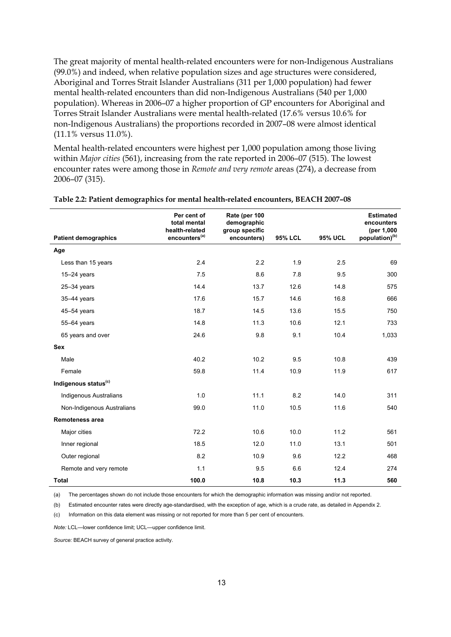The great majority of mental health-related encounters were for non-Indigenous Australians (99.0%) and indeed, when relative population sizes and age structures were considered, Aboriginal and Torres Strait Islander Australians (311 per 1,000 population) had fewer mental health-related encounters than did non-Indigenous Australians (540 per 1,000 population). Whereas in 2006–07 a higher proportion of GP encounters for Aboriginal and Torres Strait Islander Australians were mental health-related (17.6% versus 10.6% for non-Indigenous Australians) the proportions recorded in 2007–08 were almost identical (11.1% versus 11.0%).

Mental health-related encounters were highest per 1,000 population among those living within *Major cities* (561), increasing from the rate reported in 2006–07 (515). The lowest encounter rates were among those in *Remote and very remote* areas (274), a decrease from 2006–07 (315).

|                                  | Per cent of<br>total mental<br>health-related | Rate (per 100<br>demographic<br>group specific |                |                | <b>Estimated</b><br>encounters<br>(per 1,000 |
|----------------------------------|-----------------------------------------------|------------------------------------------------|----------------|----------------|----------------------------------------------|
| <b>Patient demographics</b>      | encounters <sup>(a)</sup>                     | encounters)                                    | <b>95% LCL</b> | <b>95% UCL</b> | population) <sup>(b)</sup>                   |
| Age                              |                                               |                                                |                |                |                                              |
| Less than 15 years               | 2.4                                           | 2.2                                            | 1.9            | 2.5            | 69                                           |
| $15-24$ years                    | 7.5                                           | 8.6                                            | 7.8            | 9.5            | 300                                          |
| $25 - 34$ years                  | 14.4                                          | 13.7                                           | 12.6           | 14.8           | 575                                          |
| $35-44$ years                    | 17.6                                          | 15.7                                           | 14.6           | 16.8           | 666                                          |
| $45 - 54$ years                  | 18.7                                          | 14.5                                           | 13.6           | 15.5           | 750                                          |
| 55-64 years                      | 14.8                                          | 11.3                                           | 10.6           | 12.1           | 733                                          |
| 65 years and over                | 24.6                                          | 9.8                                            | 9.1            | 10.4           | 1,033                                        |
| <b>Sex</b>                       |                                               |                                                |                |                |                                              |
| Male                             | 40.2                                          | 10.2                                           | 9.5            | 10.8           | 439                                          |
| Female                           | 59.8                                          | 11.4                                           | 10.9           | 11.9           | 617                                          |
| Indigenous status <sup>(c)</sup> |                                               |                                                |                |                |                                              |
| <b>Indigenous Australians</b>    | 1.0                                           | 11.1                                           | 8.2            | 14.0           | 311                                          |
| Non-Indigenous Australians       | 99.0                                          | 11.0                                           | 10.5           | 11.6           | 540                                          |
| <b>Remoteness area</b>           |                                               |                                                |                |                |                                              |
| Major cities                     | 72.2                                          | 10.6                                           | 10.0           | 11.2           | 561                                          |
| Inner regional                   | 18.5                                          | 12.0                                           | 11.0           | 13.1           | 501                                          |
| Outer regional                   | 8.2                                           | 10.9                                           | 9.6            | 12.2           | 468                                          |
| Remote and very remote           | 1.1                                           | 9.5                                            | 6.6            | 12.4           | 274                                          |
| <b>Total</b>                     | 100.0                                         | 10.8                                           | 10.3           | 11.3           | 560                                          |

#### **Table 2.2: Patient demographics for mental health-related encounters, BEACH 2007–08**

(a) The percentages shown do not include those encounters for which the demographic information was missing and/or not reported.

(b) Estimated encounter rates were directly age-standardised, with the exception of age, which is a crude rate, as detailed in Appendix 2.

(c) Information on this data element was missing or not reported for more than 5 per cent of encounters.

*Note:* LCL—lower confidence limit; UCL—upper confidence limit.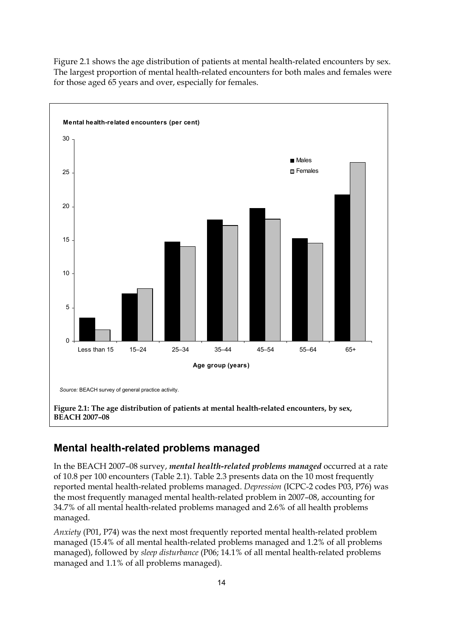

Figure 2.1 shows the age distribution of patients at mental health-related encounters by sex. The largest proportion of mental health-related encounters for both males and females were for those aged 65 years and over, especially for females.

### **Mental health-related problems managed**

In the BEACH 2007–08 survey, *mental health-related problems managed* occurred at a rate of 10.8 per 100 encounters (Table 2.1). Table 2.3 presents data on the 10 most frequently reported mental health-related problems managed. *Depression* (ICPC-2 codes P03, P76) was the most frequently managed mental health-related problem in 2007–08, accounting for 34.7% of all mental health-related problems managed and 2.6% of all health problems managed.

*Anxiety* (P01, P74) was the next most frequently reported mental health-related problem managed (15.4% of all mental health-related problems managed and 1.2% of all problems managed), followed by *sleep disturbance* (P06; 14.1% of all mental health-related problems managed and 1.1% of all problems managed).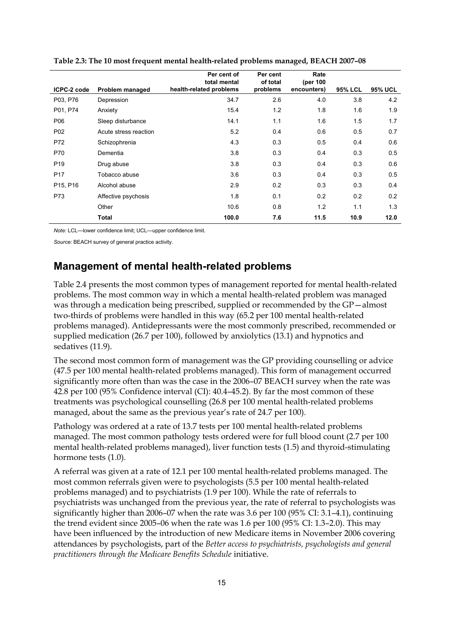|                                   |                       | Per cent of<br>total mental | Per cent<br>of total | Rate<br>(per 100 |                |                |
|-----------------------------------|-----------------------|-----------------------------|----------------------|------------------|----------------|----------------|
| ICPC-2 code                       | Problem managed       | health-related problems     | problems             | encounters)      | <b>95% LCL</b> | <b>95% UCL</b> |
| P03, P76                          | Depression            | 34.7                        | 2.6                  | 4.0              | 3.8            | 4.2            |
| P01, P74                          | Anxiety               | 15.4                        | 1.2                  | 1.8              | 1.6            | 1.9            |
| P06                               | Sleep disturbance     | 14.1                        | 1.1                  | 1.6              | 1.5            | 1.7            |
| P <sub>02</sub>                   | Acute stress reaction | 5.2                         | 0.4                  | 0.6              | 0.5            | 0.7            |
| P72                               | Schizophrenia         | 4.3                         | 0.3                  | 0.5              | 0.4            | 0.6            |
| P70                               | Dementia              | 3.8                         | 0.3                  | 0.4              | 0.3            | 0.5            |
| P <sub>19</sub>                   | Drug abuse            | 3.8                         | 0.3                  | 0.4              | 0.3            | 0.6            |
| P <sub>17</sub>                   | Tobacco abuse         | 3.6                         | 0.3                  | 0.4              | 0.3            | 0.5            |
| P <sub>15</sub> , P <sub>16</sub> | Alcohol abuse         | 2.9                         | 0.2                  | 0.3              | 0.3            | 0.4            |
| P73                               | Affective psychosis   | 1.8                         | 0.1                  | 0.2              | 0.2            | 0.2            |
|                                   | Other                 | 10.6                        | 0.8                  | 1.2              | 1.1            | 1.3            |
|                                   | <b>Total</b>          | 100.0                       | 7.6                  | 11.5             | 10.9           | 12.0           |

|  |  | Table 2.3: The 10 most frequent mental health-related problems managed, BEACH 2007-08 |
|--|--|---------------------------------------------------------------------------------------|
|--|--|---------------------------------------------------------------------------------------|

*Note:* LCL—lower confidence limit; UCL—upper confidence limit.

*Source:* BEACH survey of general practice activity.

### **Management of mental health-related problems**

Table 2.4 presents the most common types of management reported for mental health-related problems. The most common way in which a mental health-related problem was managed was through a medication being prescribed, supplied or recommended by the GP—almost two-thirds of problems were handled in this way (65.2 per 100 mental health-related problems managed). Antidepressants were the most commonly prescribed, recommended or supplied medication (26.7 per 100), followed by anxiolytics (13.1) and hypnotics and sedatives (11.9).

The second most common form of management was the GP providing counselling or advice (47.5 per 100 mental health-related problems managed). This form of management occurred significantly more often than was the case in the 2006–07 BEACH survey when the rate was 42.8 per 100 (95% Confidence interval (CI): 40.4–45.2). By far the most common of these treatments was psychological counselling (26.8 per 100 mental health-related problems managed, about the same as the previous year's rate of 24.7 per 100).

Pathology was ordered at a rate of 13.7 tests per 100 mental health-related problems managed. The most common pathology tests ordered were for full blood count (2.7 per 100 mental health-related problems managed), liver function tests (1.5) and thyroid-stimulating hormone tests (1.0).

A referral was given at a rate of 12.1 per 100 mental health-related problems managed. The most common referrals given were to psychologists (5.5 per 100 mental health-related problems managed) and to psychiatrists (1.9 per 100). While the rate of referrals to psychiatrists was unchanged from the previous year, the rate of referral to psychologists was significantly higher than 2006–07 when the rate was 3.6 per 100 (95% CI: 3.1–4.1), continuing the trend evident since 2005–06 when the rate was 1.6 per 100 (95% CI: 1.3–2.0). This may have been influenced by the introduction of new Medicare items in November 2006 covering attendances by psychologists, part of the *Better access to psychiatrists, psychologists and general practitioners through the Medicare Benefits Schedule* initiative.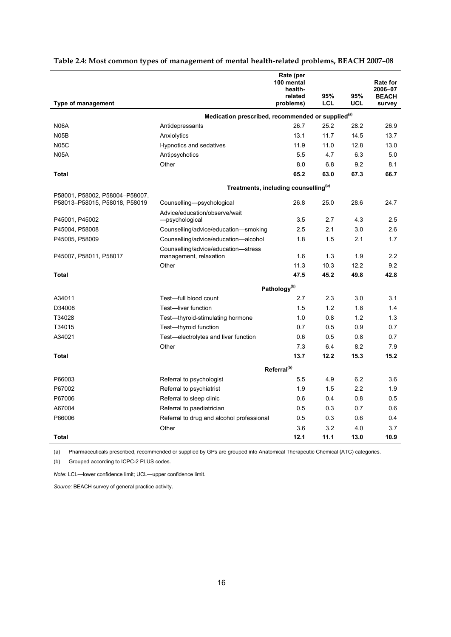|                                |                                                               | Rate (per<br>100 mental<br>health-<br>related | 95%  | 95%        | <b>Rate for</b><br>2006-07<br><b>BEACH</b> |
|--------------------------------|---------------------------------------------------------------|-----------------------------------------------|------|------------|--------------------------------------------|
| Type of management             |                                                               | problems)                                     | LCL  | UCL        | survey                                     |
|                                | Medication prescribed, recommended or supplied <sup>(a)</sup> |                                               |      |            |                                            |
| <b>N06A</b>                    | Antidepressants                                               | 26.7                                          | 25.2 | 28.2       | 26.9                                       |
| <b>N05B</b>                    | Anxiolytics                                                   | 13.1                                          | 11.7 | 14.5       | 13.7                                       |
| <b>N05C</b>                    | Hypnotics and sedatives                                       | 11.9                                          | 11.0 | 12.8       | 13.0                                       |
| <b>N05A</b>                    | Antipsychotics                                                | 5.5                                           | 4.7  | 6.3        | 5.0                                        |
|                                | Other                                                         | 8.0                                           | 6.8  | 9.2        | 8.1                                        |
| <b>Total</b>                   |                                                               | 65.2                                          | 63.0 | 67.3       | 66.7                                       |
|                                | Treatments, including counselling <sup>(b)</sup>              |                                               |      |            |                                            |
| P58001, P58002, P58004-P58007, |                                                               |                                               |      |            |                                            |
| P58013-P58015, P58018, P58019  | Counselling-psychological                                     | 26.8                                          | 25.0 | 28.6       | 24.7                                       |
|                                | Advice/education/observe/wait                                 |                                               | 2.7  |            | 2.5                                        |
| P45001, P45002                 | -psychological                                                | 3.5<br>2.5                                    | 2.1  | 4.3<br>3.0 | 2.6                                        |
| P45004, P58008                 | Counselling/advice/education-smoking                          | 1.8                                           | 1.5  | 2.1        | 1.7                                        |
| P45005, P58009                 | Counselling/advice/education-alcohol                          |                                               |      |            |                                            |
| P45007, P58011, P58017         | Counselling/advice/education-stress<br>management, relaxation | 1.6                                           | 1.3  | 1.9        | 2.2                                        |
|                                | Other                                                         | 11.3                                          | 10.3 | 12.2       | 9.2                                        |
| Total                          |                                                               | 47.5                                          | 45.2 | 49.8       | 42.8                                       |
|                                |                                                               | Pathology <sup>(b)</sup>                      |      |            |                                            |
| A34011                         | Test-full blood count                                         | 2.7                                           | 2.3  | 3.0        | 3.1                                        |
| D34008                         | Test-liver function                                           | 1.5                                           | 1.2  | 1.8        | 1.4                                        |
| T34028                         | Test-thyroid-stimulating hormone                              | 1.0                                           | 0.8  | 1.2        | 1.3                                        |
| T34015                         | Test-thyroid function                                         | 0.7                                           | 0.5  | 0.9        | 0.7                                        |
| A34021                         | Test-electrolytes and liver function                          | 0.6                                           | 0.5  | 0.8        | 0.7                                        |
|                                | Other                                                         | 7.3                                           | 6.4  | 8.2        | 7.9                                        |
| Total                          |                                                               | 13.7                                          | 12.2 | 15.3       | 15.2                                       |
|                                |                                                               | Referral <sup>(b)</sup>                       |      |            |                                            |
| P66003                         | Referral to psychologist                                      | 5.5                                           | 4.9  | 6.2        | 3.6                                        |
| P67002                         | Referral to psychiatrist                                      | 1.9                                           | 1.5  | 2.2        | 1.9                                        |
| P67006                         | Referral to sleep clinic                                      | 0.6                                           | 0.4  | 0.8        | 0.5                                        |
| A67004                         | Referral to paediatrician                                     | 0.5                                           | 0.3  | 0.7        | 0.6                                        |
| P66006                         | Referral to drug and alcohol professional                     | 05                                            | 0.3  | 0.6        | 0.4                                        |
|                                | Other                                                         | 3.6                                           | 3.2  | 4.0        | 3.7                                        |
| Total                          |                                                               | 12.1                                          | 11.1 | 13.0       | 10.9                                       |

#### **Table 2.4: Most common types of management of mental health-related problems, BEACH 2007–08**

(a) Pharmaceuticals prescribed, recommended or supplied by GPs are grouped into Anatomical Therapeutic Chemical (ATC) categories.

(b) Grouped according to ICPC-2 PLUS codes.

*Note:* LCL—lower confidence limit; UCL—upper confidence limit.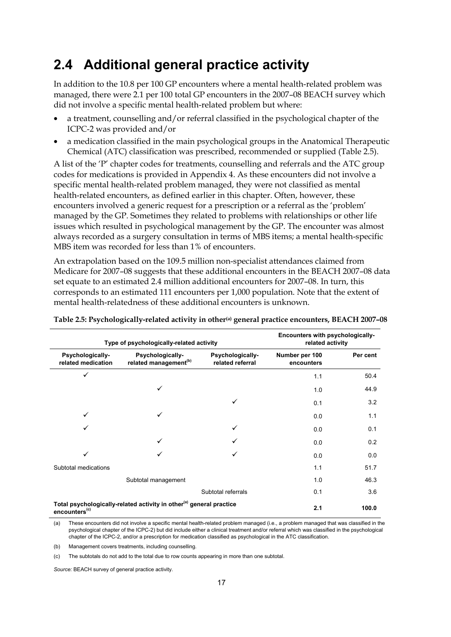### **2.4 Additional general practice activity**

In addition to the 10.8 per 100 GP encounters where a mental health-related problem was managed, there were 2.1 per 100 total GP encounters in the 2007–08 BEACH survey which did not involve a specific mental health-related problem but where:

- a treatment, counselling and/or referral classified in the psychological chapter of the ICPC-2 was provided and/or
- a medication classified in the main psychological groups in the Anatomical Therapeutic Chemical (ATC) classification was prescribed, recommended or supplied (Table 2.5).

A list of the 'P' chapter codes for treatments, counselling and referrals and the ATC group codes for medications is provided in Appendix 4. As these encounters did not involve a specific mental health-related problem managed, they were not classified as mental health-related encounters, as defined earlier in this chapter. Often, however, these encounters involved a generic request for a prescription or a referral as the 'problem' managed by the GP. Sometimes they related to problems with relationships or other life issues which resulted in psychological management by the GP. The encounter was almost always recorded as a surgery consultation in terms of MBS items; a mental health-specific MBS item was recorded for less than 1% of encounters.

An extrapolation based on the 109.5 million non-specialist attendances claimed from Medicare for 2007–08 suggests that these additional encounters in the BEACH 2007–08 data set equate to an estimated 2.4 million additional encounters for 2007–08. In turn, this corresponds to an estimated 111 encounters per 1,000 population. Note that the extent of mental health-relatedness of these additional encounters is unknown.

|                                        | Type of psychologically-related activity                                        | Encounters with psychologically-<br>related activity |                              |          |
|----------------------------------------|---------------------------------------------------------------------------------|------------------------------------------------------|------------------------------|----------|
| Psychologically-<br>related medication | Psychologically-<br>related management <sup>(b)</sup>                           | Psychologically-<br>related referral                 | Number per 100<br>encounters | Per cent |
| ✓                                      |                                                                                 |                                                      | 1.1                          | 50.4     |
|                                        | ✓                                                                               |                                                      | 1.0                          | 44.9     |
|                                        |                                                                                 |                                                      | 0.1                          | 3.2      |
| ✓                                      | ✓                                                                               |                                                      | 0.0                          | 1.1      |
|                                        |                                                                                 |                                                      | 0.0                          | 0.1      |
|                                        | ✓                                                                               |                                                      | 0.0                          | 0.2      |
|                                        |                                                                                 |                                                      | 0.0                          | 0.0      |
| Subtotal medications                   |                                                                                 |                                                      | 1.1                          | 51.7     |
|                                        | Subtotal management                                                             |                                                      | 1.0                          | 46.3     |
|                                        |                                                                                 | Subtotal referrals                                   | 0.1                          | 3.6      |
| encounters <sup>(c)</sup>              | Total psychologically-related activity in other <sup>(a)</sup> general practice | 2.1                                                  | 100.0                        |          |

Table 2.5: Psychologically-related activity in other<sup>(a)</sup> general practice encounters, BEACH 2007-08

(a) These encounters did not involve a specific mental health-related problem managed (i.e., a problem managed that was classified in the psychological chapter of the ICPC-2) but did include either a clinical treatment and/or referral which was classified in the psychological chapter of the ICPC-2, and/or a prescription for medication classified as psychological in the ATC classification.

(b) Management covers treatments, including counselling.

(c) The subtotals do not add to the total due to row counts appearing in more than one subtotal.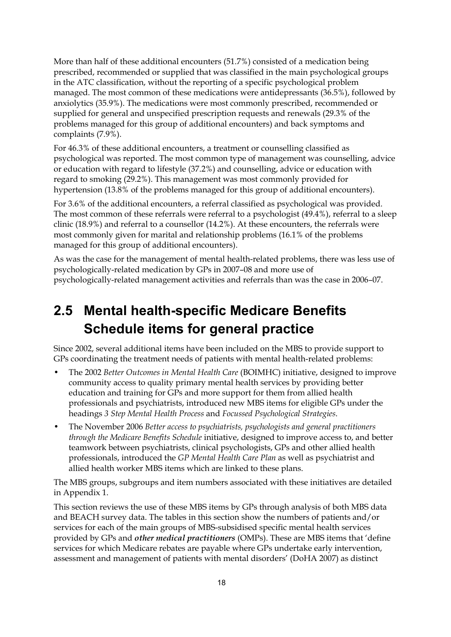More than half of these additional encounters (51.7%) consisted of a medication being prescribed, recommended or supplied that was classified in the main psychological groups in the ATC classification, without the reporting of a specific psychological problem managed. The most common of these medications were antidepressants (36.5%), followed by anxiolytics (35.9%). The medications were most commonly prescribed, recommended or supplied for general and unspecified prescription requests and renewals (29.3% of the problems managed for this group of additional encounters) and back symptoms and complaints (7.9%).

For 46.3% of these additional encounters, a treatment or counselling classified as psychological was reported. The most common type of management was counselling, advice or education with regard to lifestyle (37.2%) and counselling, advice or education with regard to smoking (29.2%). This management was most commonly provided for hypertension (13.8% of the problems managed for this group of additional encounters).

For 3.6% of the additional encounters, a referral classified as psychological was provided. The most common of these referrals were referral to a psychologist (49.4%), referral to a sleep clinic (18.9%) and referral to a counsellor (14.2%). At these encounters, the referrals were most commonly given for marital and relationship problems (16.1% of the problems managed for this group of additional encounters).

As was the case for the management of mental health-related problems, there was less use of psychologically-related medication by GPs in 2007–08 and more use of psychologically-related management activities and referrals than was the case in 2006–07.

## **2.5 Mental health-specific Medicare Benefits Schedule items for general practice**

Since 2002, several additional items have been included on the MBS to provide support to GPs coordinating the treatment needs of patients with mental health-related problems:

- The 2002 *Better Outcomes in Mental Health Care* (BOIMHC) initiative, designed to improve community access to quality primary mental health services by providing better education and training for GPs and more support for them from allied health professionals and psychiatrists, introduced new MBS items for eligible GPs under the headings *3 Step Mental Health Process* and *Focussed Psychological Strategies*.
- The November 2006 *Better access to psychiatrists, psychologists and general practitioners through the Medicare Benefits Schedule* initiative, designed to improve access to, and better teamwork between psychiatrists, clinical psychologists, GPs and other allied health professionals, introduced the *GP Mental Health Care Plan* as well as psychiatrist and allied health worker MBS items which are linked to these plans.

The MBS groups, subgroups and item numbers associated with these initiatives are detailed in Appendix 1.

This section reviews the use of these MBS items by GPs through analysis of both MBS data and BEACH survey data. The tables in this section show the numbers of patients and/or services for each of the main groups of MBS-subsidised specific mental health services provided by GPs and *other medical practitioners* (OMPs). These are MBS items that 'define services for which Medicare rebates are payable where GPs undertake early intervention, assessment and management of patients with mental disorders' (DoHA 2007) as distinct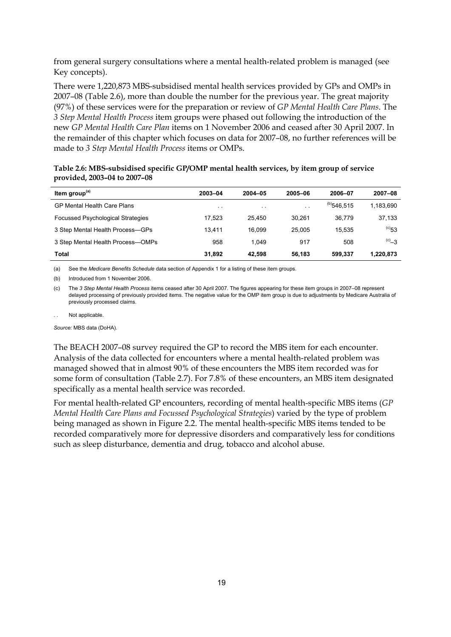from general surgery consultations where a mental health-related problem is managed (see Key concepts).

There were 1,220,873 MBS-subsidised mental health services provided by GPs and OMPs in 2007–08 (Table 2.6), more than double the number for the previous year. The great majority (97%) of these services were for the preparation or review of *GP Mental Health Care Plans*. The *3 Step Mental Health Process* item groups were phased out following the introduction of the new *GP Mental Health Care Plan* items on 1 November 2006 and ceased after 30 April 2007. In the remainder of this chapter which focuses on data for 2007–08, no further references will be made to *3 Step Mental Health Process* items or OMPs.

| Table 2.6: MBS-subsidised specific GP/OMP mental health services, by item group of service |  |  |
|--------------------------------------------------------------------------------------------|--|--|
| provided, 2003–04 to 2007–08                                                               |  |  |

| Item group <sup>(a)</sup>                | 2003-04 | $2004 - 05$          | 2005-06 | 2006-07       | 2007-08        |
|------------------------------------------|---------|----------------------|---------|---------------|----------------|
| <b>GP Mental Health Care Plans</b>       | $\sim$  | $\ddot{\phantom{1}}$ | $\sim$  | $(b)$ 546.515 | 1,183,690      |
| <b>Focussed Psychological Strategies</b> | 17.523  | 25.450               | 30.261  | 36.779        | 37,133         |
| 3 Step Mental Health Process-GPs         | 13.411  | 16.099               | 25.005  | 15.535        | $\rm ^{(c)}53$ |
| 3 Step Mental Health Process-OMPs        | 958     | 1.049                | 917     | 508           | $C_{-3}$       |
| Total                                    | 31,892  | 42.598               | 56.183  | 599.337       | 1,220,873      |

(a) See the *Medicare Benefits Schedule* data section of Appendix 1 for a listing of these item groups.

(b) Introduced from 1 November 2006.

(c) The *3 Step Mental Health Process* items ceased after 30 April 2007. The figures appearing for these item groups in 2007–08 represent delayed processing of previously provided items. The negative value for the OMP item group is due to adjustments by Medicare Australia of previously processed claims.

Not applicable.

*Source:* MBS data (DoHA).

The BEACH 2007–08 survey required the GP to record the MBS item for each encounter. Analysis of the data collected for encounters where a mental health-related problem was managed showed that in almost 90% of these encounters the MBS item recorded was for some form of consultation (Table 2.7). For 7.8% of these encounters, an MBS item designated specifically as a mental health service was recorded.

For mental health-related GP encounters, recording of mental health-specific MBS items (*GP Mental Health Care Plans and Focussed Psychological Strategies*) varied by the type of problem being managed as shown in Figure 2.2. The mental health-specific MBS items tended to be recorded comparatively more for depressive disorders and comparatively less for conditions such as sleep disturbance, dementia and drug, tobacco and alcohol abuse.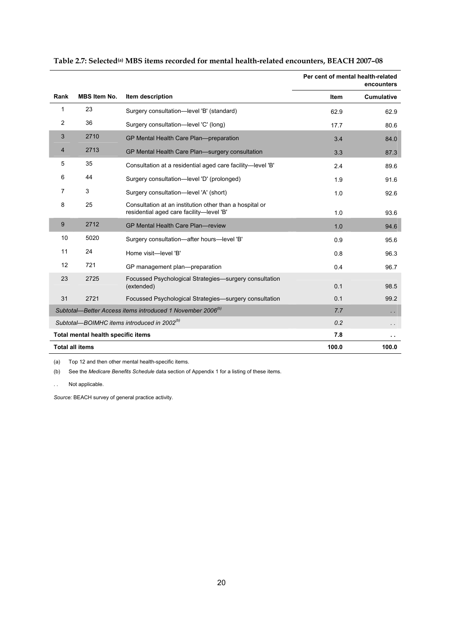|      |                                    |                                                                                                     |             | Per cent of mental health-related<br>encounters |
|------|------------------------------------|-----------------------------------------------------------------------------------------------------|-------------|-------------------------------------------------|
| Rank | <b>MBS Item No.</b>                | Item description                                                                                    | <b>Item</b> | <b>Cumulative</b>                               |
| 1    | 23                                 | Surgery consultation-level 'B' (standard)                                                           | 62.9        | 62.9                                            |
| 2    | 36                                 | Surgery consultation-level 'C' (long)                                                               | 17.7        | 80.6                                            |
| 3    | 2710                               | GP Mental Health Care Plan-preparation                                                              | 3.4         | 84.0                                            |
| 4    | 2713                               | GP Mental Health Care Plan-surgery consultation                                                     | 3.3         | 87.3                                            |
| 5    | 35                                 | Consultation at a residential aged care facility-level 'B'                                          | 2.4         | 89.6                                            |
| 6    | 44                                 | Surgery consultation-level 'D' (prolonged)                                                          | 1.9         | 91.6                                            |
| 7    | 3                                  | Surgery consultation-level 'A' (short)                                                              | 1.0         | 92.6                                            |
| 8    | 25                                 | Consultation at an institution other than a hospital or<br>residential aged care facility-level 'B' | 1.0         | 93.6                                            |
| 9    | 2712                               | GP Mental Health Care Plan-review                                                                   | 1.0         | 94.6                                            |
| 10   | 5020                               | Surgery consultation-after hours-level 'B'                                                          | 0.9         | 95.6                                            |
| 11   | 24                                 | Home visit-level 'B'                                                                                | 0.8         | 96.3                                            |
| 12   | 721                                | GP management plan-preparation                                                                      | 0.4         | 96.7                                            |
| 23   | 2725                               | Focussed Psychological Strategies—surgery consultation<br>(extended)                                | 0.1         | 98.5                                            |
| 31   | 2721                               | Focussed Psychological Strategies—surgery consultation                                              | 0.1         | 99.2                                            |
|      |                                    | Subtotal-Better Access items introduced 1 November 2006 <sup>(b)</sup>                              | 7.7         | $\sim$                                          |
|      |                                    | Subtotal—BOIMHC items introduced in 2002 <sup>(b)</sup>                                             | 0.2         | $\sim$ $\sim$                                   |
|      | Total mental health specific items |                                                                                                     | 7.8         | $\sim$                                          |
|      | <b>Total all items</b>             |                                                                                                     | 100.0       | 100.0                                           |

| Table 2.7: Selected <sup>(a)</sup> MBS items recorded for mental health-related encounters, BEACH 2007–08 |  |  |  |
|-----------------------------------------------------------------------------------------------------------|--|--|--|
|-----------------------------------------------------------------------------------------------------------|--|--|--|

(a) Top 12 and then other mental health-specific items.

(b) See the *Medicare Benefits Schedule* data section of Appendix 1 for a listing of these items.

. . Not applicable.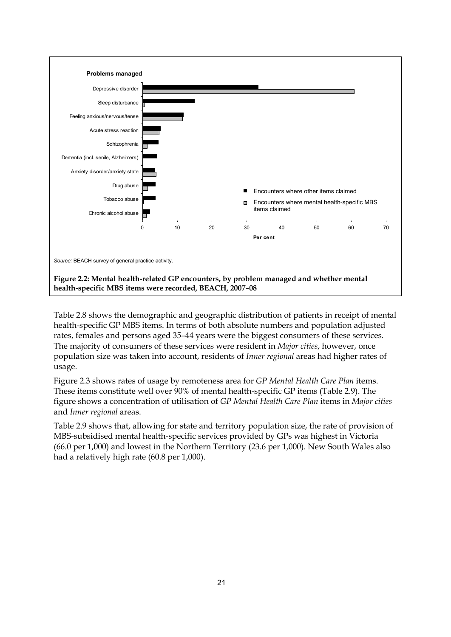

Table 2.8 shows the demographic and geographic distribution of patients in receipt of mental health-specific GP MBS items. In terms of both absolute numbers and population adjusted rates, females and persons aged 35–44 years were the biggest consumers of these services. The majority of consumers of these services were resident in *Major cities*, however, once population size was taken into account, residents of *Inner regional* areas had higher rates of usage.

Figure 2.3 shows rates of usage by remoteness area for *GP Mental Health Care Plan* items. These items constitute well over 90% of mental health-specific GP items (Table 2.9). The figure shows a concentration of utilisation of *GP Mental Health Care Plan* items in *Major cities* and *Inner regional* areas.

Table 2.9 shows that, allowing for state and territory population size, the rate of provision of MBS-subsidised mental health-specific services provided by GPs was highest in Victoria (66.0 per 1,000) and lowest in the Northern Territory (23.6 per 1,000). New South Wales also had a relatively high rate (60.8 per 1,000).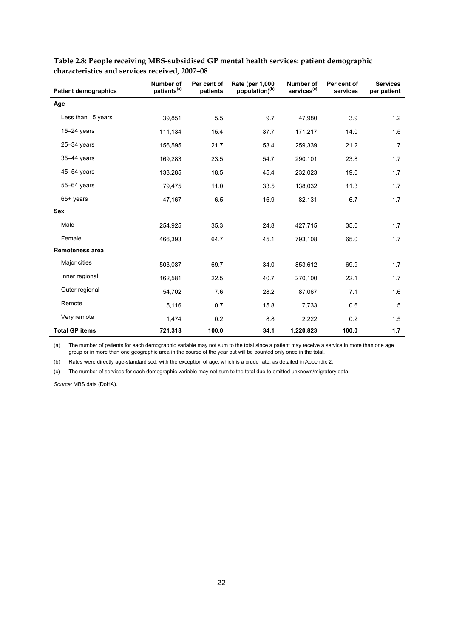| <b>Patient demographics</b> | Number of<br>patients <sup>(a)</sup> | Per cent of<br>patients | Rate (per 1,000<br>population) <sup>(b)</sup> | Number of<br>services <sup>(c)</sup> | Per cent of<br>services | <b>Services</b><br>per patient |
|-----------------------------|--------------------------------------|-------------------------|-----------------------------------------------|--------------------------------------|-------------------------|--------------------------------|
| Age                         |                                      |                         |                                               |                                      |                         |                                |
| Less than 15 years          | 39,851                               | 5.5                     | 9.7                                           | 47,980                               | 3.9                     | 1.2                            |
| $15-24$ years               | 111,134                              | 15.4                    | 37.7                                          | 171,217                              | 14.0                    | 1.5                            |
| $25 - 34$ years             | 156,595                              | 21.7                    | 53.4                                          | 259,339                              | 21.2                    | 1.7                            |
| $35-44$ years               | 169,283                              | 23.5                    | 54.7                                          | 290,101                              | 23.8                    | 1.7                            |
| 45-54 years                 | 133,285                              | 18.5                    | 45.4                                          | 232,023                              | 19.0                    | 1.7                            |
| 55-64 years                 | 79,475                               | 11.0                    | 33.5                                          | 138,032                              | 11.3                    | 1.7                            |
| 65+ years                   | 47,167                               | 6.5                     | 16.9                                          | 82,131                               | 6.7                     | 1.7                            |
| <b>Sex</b>                  |                                      |                         |                                               |                                      |                         |                                |
| Male                        | 254,925                              | 35.3                    | 24.8                                          | 427,715                              | 35.0                    | 1.7                            |
| Female                      | 466.393                              | 64.7                    | 45.1                                          | 793,108                              | 65.0                    | 1.7                            |
| <b>Remoteness area</b>      |                                      |                         |                                               |                                      |                         |                                |
| Major cities                | 503,087                              | 69.7                    | 34.0                                          | 853,612                              | 69.9                    | 1.7                            |
| Inner regional              | 162,581                              | 22.5                    | 40.7                                          | 270,100                              | 22.1                    | 1.7                            |
| Outer regional              | 54,702                               | 7.6                     | 28.2                                          | 87,067                               | 7.1                     | 1.6                            |
| Remote                      | 5,116                                | 0.7                     | 15.8                                          | 7,733                                | 0.6                     | 1.5                            |
| Very remote                 | 1,474                                | 0.2                     | 8.8                                           | 2,222                                | 0.2                     | 1.5                            |
| <b>Total GP items</b>       | 721,318                              | 100.0                   | 34.1                                          | 1,220,823                            | 100.0                   | 1.7                            |

**Table 2.8: People receiving MBS-subsidised GP mental health services: patient demographic characteristics and services received, 2007–08** 

(a) The number of patients for each demographic variable may not sum to the total since a patient may receive a service in more than one age group or in more than one geographic area in the course of the year but will be counted only once in the total.

(b) Rates were directly age-standardised, with the exception of age, which is a crude rate, as detailed in Appendix 2.

(c) The number of services for each demographic variable may not sum to the total due to omitted unknown/migratory data.

*Source:* MBS data (DoHA).